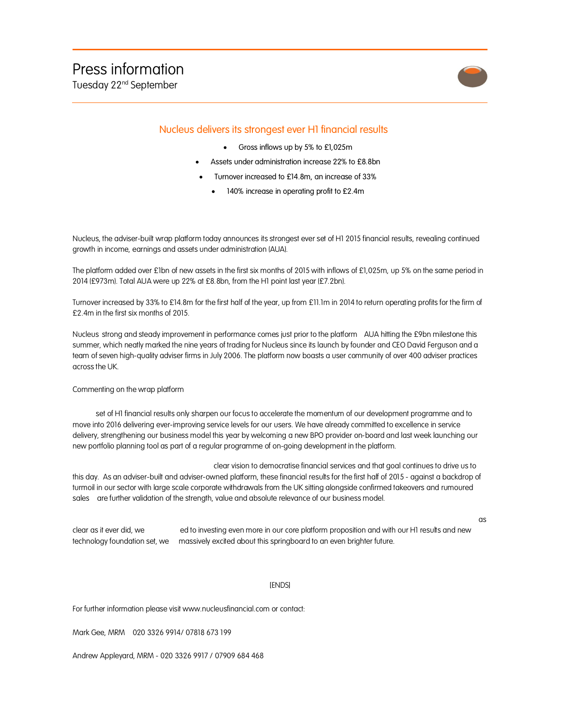

as

## Nucleus delivers its strongest ever H1 financial results

- Gross inflows up by 5% to £1,025m
- Assets under administration increase 22% to £8.8bn
- Turnover increased to £14.8m, an increase of 33%
	- 140% increase in operating profit to £2.4m

Nucleus, the adviser-built wrap platform today announces its strongest ever set of H1 2015 financial results, revealing continued growth in income, earnings and assets under administration (AUA).

The platform added over £1bn of new assets in the first six months of 2015 with inflows of £1,025m, up 5% on the same period in 2014 (£973m). Total AUA were up 22% at £8.8bn, from the H1 point last year (£7.2bn).

Turnover increased by 33% to £14.8m for the first half of the year, up from £11.1m in 2014 to return operating profits for the firm of £2.4m in the first six months of 2015.

Nucleus strong and steady improvement in performance comes just prior to the platform AUA hitting the £9bn milestone this summer, which neatly marked the nine years of trading for Nucleus since its launch by founder and CEO David Ferguson and a team of seven high-quality adviser firms in July 2006. The platform now boasts a user community of over 400 adviser practices across the UK.

## Commenting on the wrap platform

set of H1 financial results only sharpen our focus to accelerate the momentum of our development programme and to move into 2016 delivering ever-improving service levels for our users. We have already committed to excellence in service delivery, strengthening our business model this year by welcoming a new BPO provider on-board and last week launching our new portfolio planning tool as part of a regular programme of on-going development in the platform.

clear vision to democratise financial services and that goal continues to drive us to this day. As an adviser-built and adviser-owned platform, these financial results for the first half of 2015 - against a backdrop of turmoil in our sector with large scale corporate withdrawals from the UK sitting alongside confirmed takeovers and rumoured sales are further validation of the strength, value and absolute relevance of our business model.

clear as it ever did, we ed to investing even more in our core platform proposition and with our H1 results and new technology foundation set, we massively excited about this springboard to an even brighter future.

## [ENDS]

For further information please visit www.nucleusfinancial.com or contact:

Mark Gee, MRM 020 3326 9914/ 07818 673 199

Andrew Appleyard, MRM - 020 3326 9917 / 07909 684 468